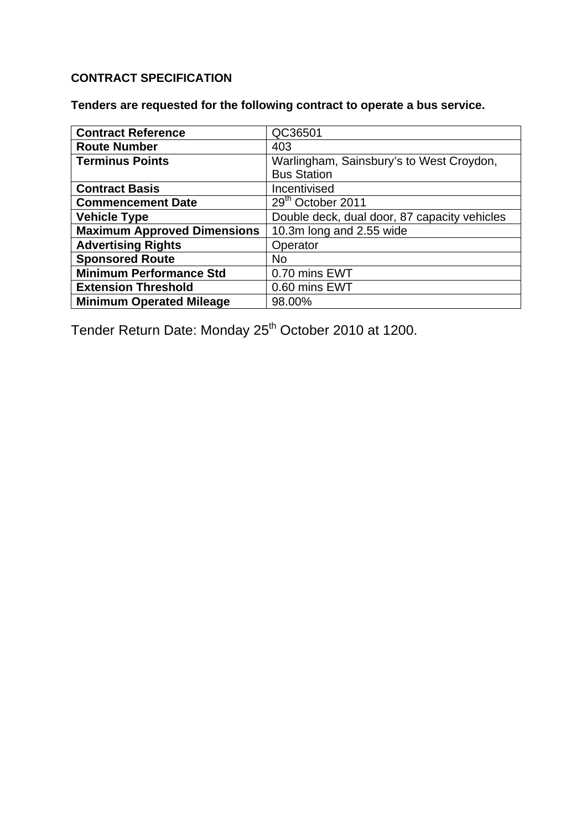# **CONTRACT SPECIFICATION**

**Tenders are requested for the following contract to operate a bus service.** 

| <b>Contract Reference</b>          | QC36501                                      |
|------------------------------------|----------------------------------------------|
| <b>Route Number</b>                | 403                                          |
| <b>Terminus Points</b>             | Warlingham, Sainsbury's to West Croydon,     |
|                                    | <b>Bus Station</b>                           |
| <b>Contract Basis</b>              | Incentivised                                 |
| <b>Commencement Date</b>           | 29 <sup>th</sup> October 2011                |
| <b>Vehicle Type</b>                | Double deck, dual door, 87 capacity vehicles |
| <b>Maximum Approved Dimensions</b> | 10.3m long and 2.55 wide                     |
| <b>Advertising Rights</b>          | Operator                                     |
| <b>Sponsored Route</b>             | <b>No</b>                                    |
| <b>Minimum Performance Std</b>     | 0.70 mins EWT                                |
| <b>Extension Threshold</b>         | 0.60 mins EWT                                |
| <b>Minimum Operated Mileage</b>    | 98.00%                                       |

Tender Return Date: Monday 25<sup>th</sup> October 2010 at 1200.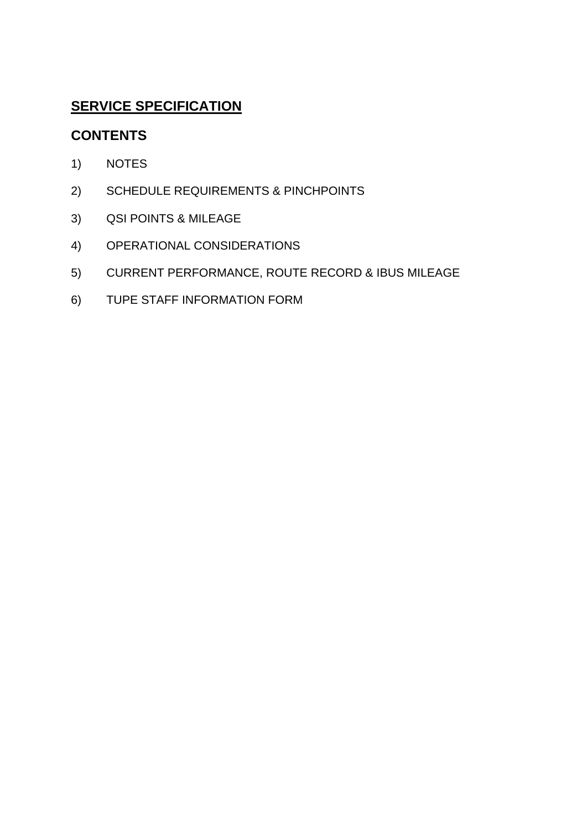# **SERVICE SPECIFICATION**

# **CONTENTS**

- 1) NOTES
- 2) SCHEDULE REQUIREMENTS & PINCHPOINTS
- 3) QSI POINTS & MILEAGE
- 4) OPERATIONAL CONSIDERATIONS
- 5) CURRENT PERFORMANCE, ROUTE RECORD & IBUS MILEAGE
- 6) TUPE STAFF INFORMATION FORM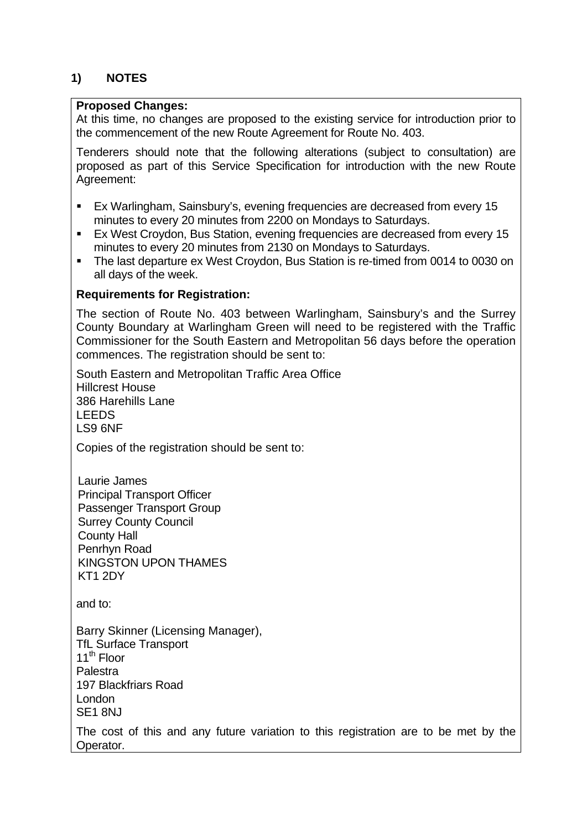# **1) NOTES**

### **Proposed Changes:**

At this time, no changes are proposed to the existing service for introduction prior to the commencement of the new Route Agreement for Route No. 403.

Tenderers should note that the following alterations (subject to consultation) are proposed as part of this Service Specification for introduction with the new Route Agreement:

- Ex Warlingham, Sainsbury's, evening frequencies are decreased from every 15 minutes to every 20 minutes from 2200 on Mondays to Saturdays.
- Ex West Croydon, Bus Station, evening frequencies are decreased from every 15 minutes to every 20 minutes from 2130 on Mondays to Saturdays.
- The last departure ex West Croydon, Bus Station is re-timed from 0014 to 0030 on all days of the week.

#### **Requirements for Registration:**

The section of Route No. 403 between Warlingham, Sainsbury's and the Surrey County Boundary at Warlingham Green will need to be registered with the Traffic Commissioner for the South Eastern and Metropolitan 56 days before the operation commences. The registration should be sent to:

South Eastern and Metropolitan Traffic Area Office Hillcrest House 386 Harehills Lane LEEDS LS9 6NF

Copies of the registration should be sent to:

Laurie James Principal Transport Officer Passenger Transport Group Surrey County Council County Hall Penrhyn Road KINGSTON UPON THAMES KT1 2DY

and to:

Barry Skinner (Licensing Manager), TfL Surface Transport 11<sup>th</sup> Floor Palestra 197 Blackfriars Road London SE1 8NJ

The cost of this and any future variation to this registration are to be met by the Operator.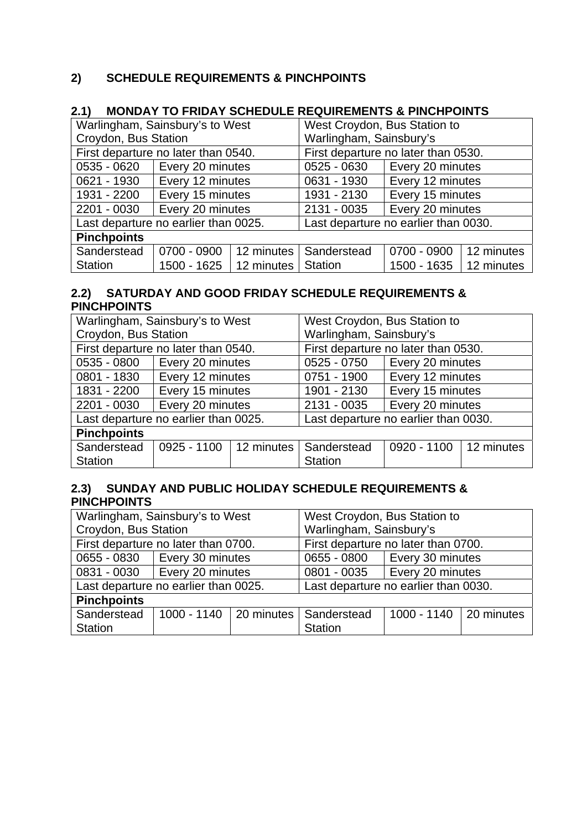# **2) SCHEDULE REQUIREMENTS & PINCHPOINTS**

# **2.1) MONDAY TO FRIDAY SCHEDULE REQUIREMENTS & PINCHPOINTS**

| Warlingham, Sainsbury's to West      |                  |                            | West Croydon, Bus Station to         |                  |            |  |
|--------------------------------------|------------------|----------------------------|--------------------------------------|------------------|------------|--|
| Croydon, Bus Station                 |                  |                            | Warlingham, Sainsbury's              |                  |            |  |
| First departure no later than 0540.  |                  |                            | First departure no later than 0530.  |                  |            |  |
| 0535 - 0620                          | Every 20 minutes |                            | $0525 - 0630$                        | Every 20 minutes |            |  |
| 0621 - 1930                          | Every 12 minutes |                            | 0631 - 1930                          | Every 12 minutes |            |  |
| 1931 - 2200                          | Every 15 minutes |                            | 1931 - 2130                          | Every 15 minutes |            |  |
| 2201 - 0030                          | Every 20 minutes |                            | 2131 - 0035                          | Every 20 minutes |            |  |
| Last departure no earlier than 0025. |                  |                            | Last departure no earlier than 0030. |                  |            |  |
| <b>Pinchpoints</b>                   |                  |                            |                                      |                  |            |  |
| Sanderstead                          | 0700 - 0900      | 12 minutes                 | Sanderstead                          | 0700 - 0900      | 12 minutes |  |
| <b>Station</b>                       | 1500 - 1625      | $\vert$ 12 minutes $\vert$ | <b>Station</b>                       | 1500 - 1635      | 12 minutes |  |

# **2.2) SATURDAY AND GOOD FRIDAY SCHEDULE REQUIREMENTS & PINCHPOINTS**

| Warlingham, Sainsbury's to West      |                  |            | West Croydon, Bus Station to         |                                     |  |  |  |
|--------------------------------------|------------------|------------|--------------------------------------|-------------------------------------|--|--|--|
| Croydon, Bus Station                 |                  |            |                                      | Warlingham, Sainsbury's             |  |  |  |
| First departure no later than 0540.  |                  |            |                                      | First departure no later than 0530. |  |  |  |
| 0535 - 0800                          | Every 20 minutes |            | 0525 - 0750                          | Every 20 minutes                    |  |  |  |
| 0801 - 1830                          | Every 12 minutes |            | 0751 - 1900                          | Every 12 minutes                    |  |  |  |
| 1831 - 2200                          | Every 15 minutes |            | 1901 - 2130                          | Every 15 minutes                    |  |  |  |
| 2201 - 0030                          | Every 20 minutes |            | 2131 - 0035                          | Every 20 minutes                    |  |  |  |
| Last departure no earlier than 0025. |                  |            | Last departure no earlier than 0030. |                                     |  |  |  |
| <b>Pinchpoints</b>                   |                  |            |                                      |                                     |  |  |  |
| Sanderstead                          | 0925 - 1100      | 12 minutes | Sanderstead                          | 0920 - 1100   12 minutes            |  |  |  |
| <b>Station</b>                       |                  |            | <b>Station</b>                       |                                     |  |  |  |

### **2.3) SUNDAY AND PUBLIC HOLIDAY SCHEDULE REQUIREMENTS & PINCHPOINTS**

| Warlingham, Sainsbury's to West      |                                        | West Croydon, Bus Station to         |                                     |  |  |
|--------------------------------------|----------------------------------------|--------------------------------------|-------------------------------------|--|--|
| Croydon, Bus Station                 |                                        | Warlingham, Sainsbury's              |                                     |  |  |
| First departure no later than 0700.  |                                        |                                      | First departure no later than 0700. |  |  |
| 0655 - 0830   Every 30 minutes       |                                        | 0655 - 0800   Every 30 minutes       |                                     |  |  |
| 0831 - 0030   Every 20 minutes       |                                        | 0801 - 0035                          | Every 20 minutes                    |  |  |
| Last departure no earlier than 0025. |                                        | Last departure no earlier than 0030. |                                     |  |  |
| <b>Pinchpoints</b>                   |                                        |                                      |                                     |  |  |
| Sanderstead                          | 1000 - 1140   20 minutes   Sanderstead |                                      | 1000 - 1140 20 minutes              |  |  |
| <b>Station</b>                       |                                        | <b>Station</b>                       |                                     |  |  |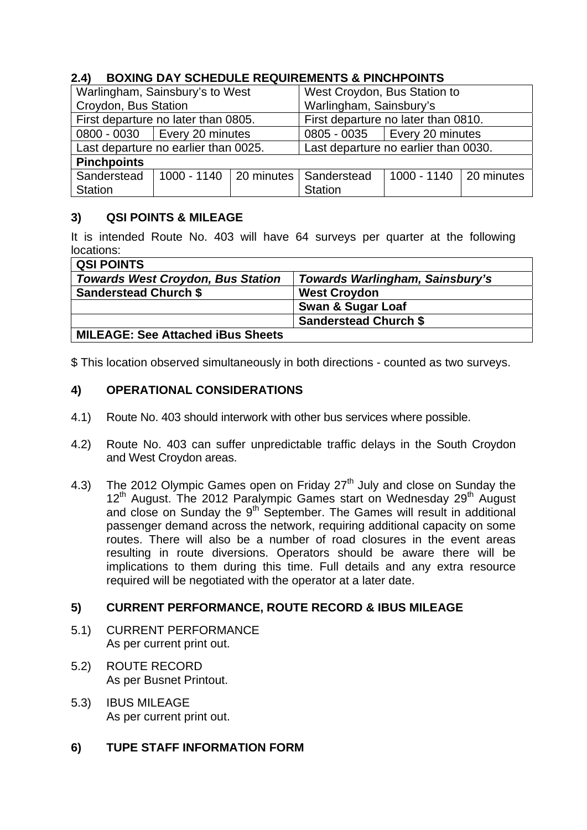# **2.4) BOXING DAY SCHEDULE REQUIREMENTS & PINCHPOINTS**

| Warlingham, Sainsbury's to West      |                                        | West Croydon, Bus Station to         |                                |  |  |
|--------------------------------------|----------------------------------------|--------------------------------------|--------------------------------|--|--|
| Croydon, Bus Station                 |                                        | Warlingham, Sainsbury's              |                                |  |  |
| First departure no later than 0805.  |                                        | First departure no later than 0810.  |                                |  |  |
| 0800 - 0030   Every 20 minutes       |                                        |                                      | 0805 - 0035   Every 20 minutes |  |  |
| Last departure no earlier than 0025. |                                        | Last departure no earlier than 0030. |                                |  |  |
| <b>Pinchpoints</b>                   |                                        |                                      |                                |  |  |
| Sanderstead                          | 1000 - 1140   20 minutes   Sanderstead |                                      | 1000 - 1140 20 minutes         |  |  |
| <b>Station</b>                       |                                        | <b>Station</b>                       |                                |  |  |

# **3) QSI POINTS & MILEAGE**

It is intended Route No. 403 will have 64 surveys per quarter at the following locations:

| <b>QSI POINTS</b>                        |                                 |
|------------------------------------------|---------------------------------|
| <b>Towards West Croydon, Bus Station</b> | Towards Warlingham, Sainsbury's |
| <b>Sanderstead Church \$</b>             | <b>West Croydon</b>             |
|                                          | <b>Swan &amp; Sugar Loaf</b>    |
|                                          | <b>Sanderstead Church \$</b>    |
| <b>MILEAGE: See Attached iBus Sheets</b> |                                 |

\$ This location observed simultaneously in both directions - counted as two surveys.

# **4) OPERATIONAL CONSIDERATIONS**

- 4.1) Route No. 403 should interwork with other bus services where possible.
- 4.2) Route No. 403 can suffer unpredictable traffic delays in the South Croydon and West Croydon areas.
- 4.3) The 2012 Olympic Games open on Friday  $27<sup>th</sup>$  July and close on Sunday the 12<sup>th</sup> August. The 2012 Paralympic Games start on Wednesday 29<sup>th</sup> August and close on Sunday the 9<sup>th</sup> September. The Games will result in additional passenger demand across the network, requiring additional capacity on some routes. There will also be a number of road closures in the event areas resulting in route diversions. Operators should be aware there will be implications to them during this time. Full details and any extra resource required will be negotiated with the operator at a later date.

# **5) CURRENT PERFORMANCE, ROUTE RECORD & IBUS MILEAGE**

- 5.1) CURRENT PERFORMANCE As per current print out.
- 5.2) ROUTE RECORD As per Busnet Printout.
- 5.3) IBUS MILEAGE As per current print out.

# **6) TUPE STAFF INFORMATION FORM**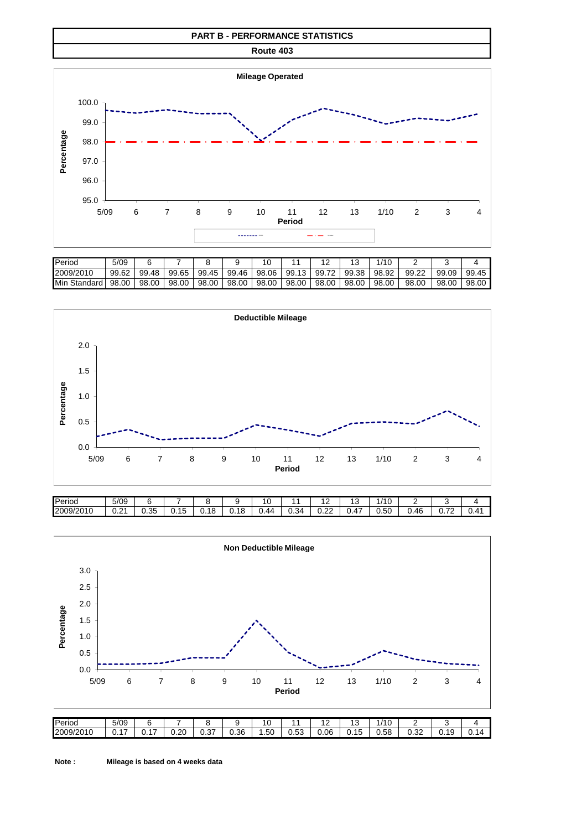

| <b>I</b> Period          | 5/09  |       |       |       |       | 10    |       |       |       | 1/1 C |       |       |       |
|--------------------------|-------|-------|-------|-------|-------|-------|-------|-------|-------|-------|-------|-------|-------|
| 2009/2010                | 99.62 | 99.48 | 99.65 | 99.45 | 99.46 | 98.06 | 99.13 | 99.72 | 99.38 | 98.92 | 99.22 | 99.09 | 99.45 |
| <b>I</b> Min<br>Standard | 98.00 | 98.00 | 98.00 | 98.00 | 98.00 | 98.00 | 98.00 | 98.00 | 98.00 | 98.00 | 98.00 | 98.00 | 98.00 |



| Period    | 5/09                         |            | $-$                    |      | ∼<br>∼ |               |      | . .        | . ب                              | /10            | -         |                                            |               |
|-----------|------------------------------|------------|------------------------|------|--------|---------------|------|------------|----------------------------------|----------------|-----------|--------------------------------------------|---------------|
| 2009/2010 | $\mathbf{a}$<br>$\mathsf{v}$ | 25<br>∪.∪∪ | $\overline{A}$<br>U.15 | 0.18 | 0.18   | 44<br><b></b> | 0.34 | nn<br>v.zz | $\overline{\phantom{a}}$<br>U.4. | $\sim$<br>0.50 | .46<br>v. | $\overline{\phantom{a}}$<br>v.<br><b>_</b> | $\sim$<br>◡.- |

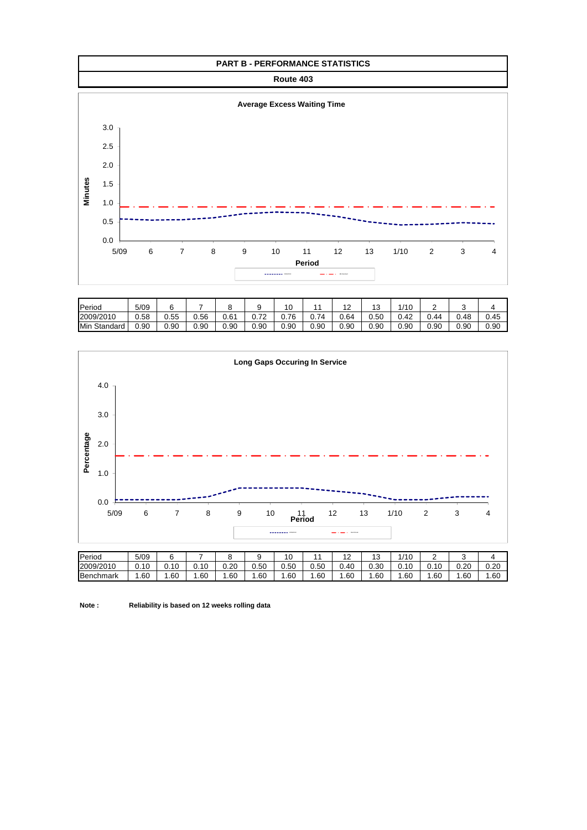

| Period          | 5/09 |      |      |                  |                                     | 10   |      | .    | $\sqrt{2}$<br>د ا | 1/10 | -    |      |      |
|-----------------|------|------|------|------------------|-------------------------------------|------|------|------|-------------------|------|------|------|------|
| 2009/2010       | 0.58 | ง.55 | 0.56 | 0.6 <sup>4</sup> | $\overline{\phantom{a}}$<br>υ.<br>- | 0.76 | 74.ں | 0.64 | 0.50              | 0.42 | 0.44 | .48  | 0.45 |
| Min<br>Standard | 0.90 | 0.90 | 0.90 | 0.90             | 0.90                                | 0.90 | 0.90 | 0.90 | 0.90              | 0.90 | 0.90 | 0.90 | 0.90 |



**Note : Reliability is based on 12 weeks rolling data**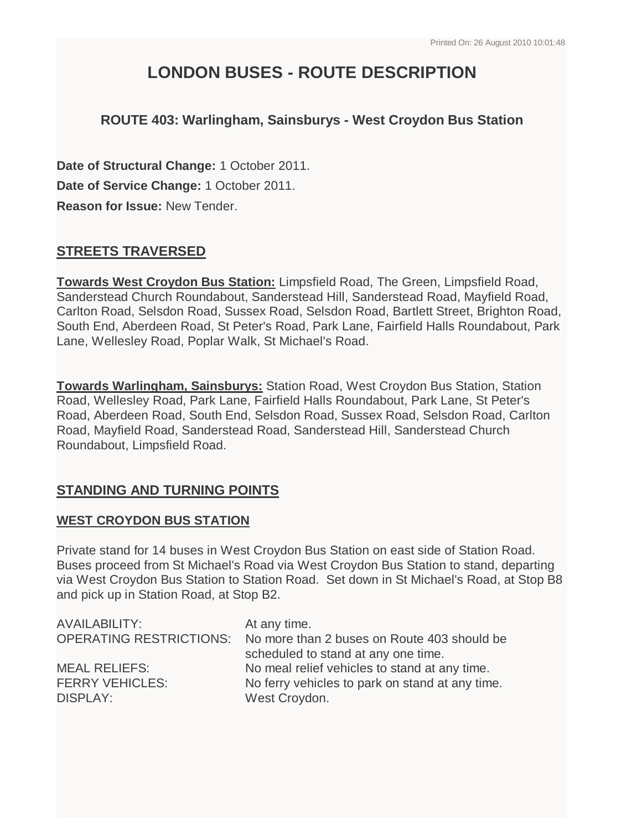# **LONDON BUSES - ROUTE DESCRIPTION**

# **ROUTE 403: Warlingham, Sainsburys - West Croydon Bus Station**

**Date of Structural Change:** 1 October 2011. **Date of Service Change:** 1 October 2011. **Reason for Issue:** New Tender.

# **STREETS TRAVERSED**

**Towards West Croydon Bus Station:** Limpsfield Road, The Green, Limpsfield Road, Sanderstead Church Roundabout, Sanderstead Hill, Sanderstead Road, Mayfield Road, Carlton Road, Selsdon Road, Sussex Road, Selsdon Road, Bartlett Street, Brighton Road, South End, Aberdeen Road, St Peter's Road, Park Lane, Fairfield Halls Roundabout, Park Lane, Wellesley Road, Poplar Walk, St Michael's Road.

**Towards Warlingham, Sainsburys:** Station Road, West Croydon Bus Station, Station Road, Wellesley Road, Park Lane, Fairfield Halls Roundabout, Park Lane, St Peter's Road, Aberdeen Road, South End, Selsdon Road, Sussex Road, Selsdon Road, Carlton Road, Mayfield Road, Sanderstead Road, Sanderstead Hill, Sanderstead Church Roundabout, Limpsfield Road.

# **STANDING AND TURNING POINTS**

# **WEST CROYDON BUS STATION**

Private stand for 14 buses in West Croydon Bus Station on east side of Station Road. Buses proceed from St Michael's Road via West Croydon Bus Station to stand, departing via West Croydon Bus Station to Station Road. Set down in St Michael's Road, at Stop B8 and pick up in Station Road, at Stop B2.

| AVAILABILITY:                  | At any time.                                    |
|--------------------------------|-------------------------------------------------|
| <b>OPERATING RESTRICTIONS:</b> | No more than 2 buses on Route 403 should be     |
|                                | scheduled to stand at any one time.             |
| <b>MEAL RELIEFS:</b>           | No meal relief vehicles to stand at any time.   |
| <b>FERRY VEHICLES:</b>         | No ferry vehicles to park on stand at any time. |
| <b>DISPLAY:</b>                | West Croydon.                                   |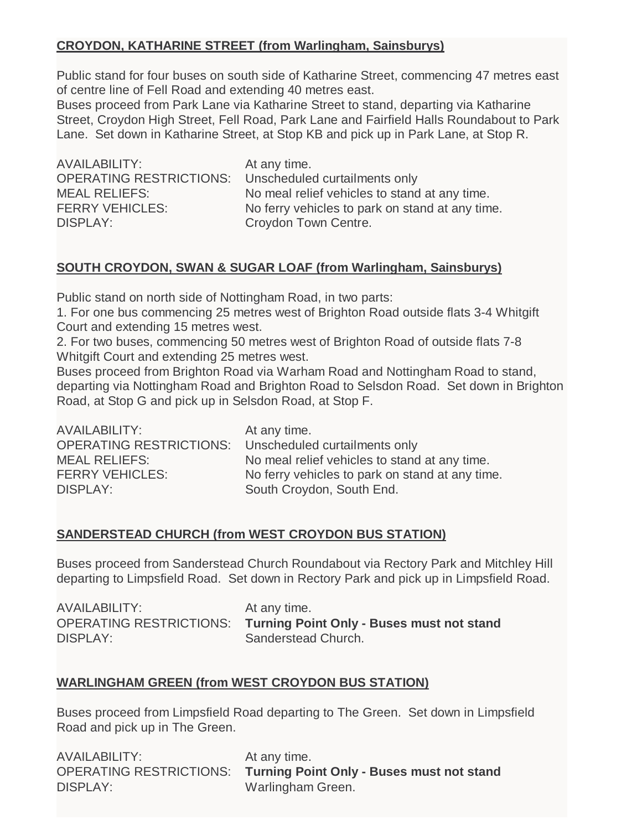# **CROYDON, KATHARINE STREET (from Warlingham, Sainsburys)**

Public stand for four buses on south side of Katharine Street, commencing 47 metres east of centre line of Fell Road and extending 40 metres east.

Buses proceed from Park Lane via Katharine Street to stand, departing via Katharine Street, Croydon High Street, Fell Road, Park Lane and Fairfield Halls Roundabout to Park Lane. Set down in Katharine Street, at Stop KB and pick up in Park Lane, at Stop R.

AVAILABILITY: At any time. DISPLAY: Croydon Town Centre.

OPERATING RESTRICTIONS: Unscheduled curtailments only MEAL RELIEFS: No meal relief vehicles to stand at any time. FERRY VEHICLES: No ferry vehicles to park on stand at any time.

# **SOUTH CROYDON, SWAN & SUGAR LOAF (from Warlingham, Sainsburys)**

Public stand on north side of Nottingham Road, in two parts:

1. For one bus commencing 25 metres west of Brighton Road outside flats 3-4 Whitgift Court and extending 15 metres west.

2. For two buses, commencing 50 metres west of Brighton Road of outside flats 7-8 Whitgift Court and extending 25 metres west.

Buses proceed from Brighton Road via Warham Road and Nottingham Road to stand, departing via Nottingham Road and Brighton Road to Selsdon Road. Set down in Brighton Road, at Stop G and pick up in Selsdon Road, at Stop F.

| <b>AVAILABILITY:</b>           | At any time.                                    |
|--------------------------------|-------------------------------------------------|
| <b>OPERATING RESTRICTIONS:</b> | Unscheduled curtailments only                   |
| <b>MEAL RELIEFS:</b>           | No meal relief vehicles to stand at any time.   |
| <b>FERRY VEHICLES:</b>         | No ferry vehicles to park on stand at any time. |
| <b>DISPLAY:</b>                | South Croydon, South End.                       |

# **SANDERSTEAD CHURCH (from WEST CROYDON BUS STATION)**

Buses proceed from Sanderstead Church Roundabout via Rectory Park and Mitchley Hill departing to Limpsfield Road. Set down in Rectory Park and pick up in Limpsfield Road.

| AVAILABILITY: | At any time.                                                      |
|---------------|-------------------------------------------------------------------|
|               | OPERATING RESTRICTIONS: Turning Point Only - Buses must not stand |
| DISPLAY:      | Sanderstead Church.                                               |

# **WARLINGHAM GREEN (from WEST CROYDON BUS STATION)**

Buses proceed from Limpsfield Road departing to The Green. Set down in Limpsfield Road and pick up in The Green.

| AVAILABILITY:   | At any time.                                                      |
|-----------------|-------------------------------------------------------------------|
|                 | OPERATING RESTRICTIONS: Turning Point Only - Buses must not stand |
| <b>DISPLAY:</b> | Warlingham Green.                                                 |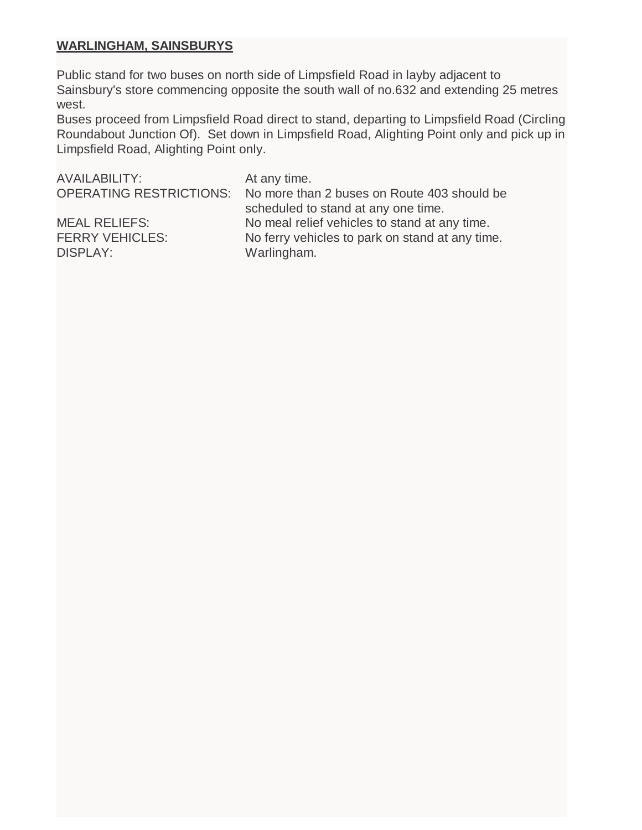### **WARLINGHAM, SAINSBURYS**

Public stand for two buses on north side of Limpsfield Road in layby adjacent to Sainsbury's store commencing opposite the south wall of no.632 and extending 25 metres west.

Buses proceed from Limpsfield Road direct to stand, departing to Limpsfield Road (Circling Roundabout Junction Of). Set down in Limpsfield Road, Alighting Point only and pick up in Limpsfield Road, Alighting Point only.

| <b>AVAILABILITY:</b>   | At any time.                                                        |
|------------------------|---------------------------------------------------------------------|
|                        | OPERATING RESTRICTIONS: No more than 2 buses on Route 403 should be |
|                        | scheduled to stand at any one time.                                 |
| <b>MEAL RELIEFS:</b>   | No meal relief vehicles to stand at any time.                       |
| <b>FERRY VEHICLES:</b> | No ferry vehicles to park on stand at any time.                     |
| <b>DISPLAY:</b>        | Warlingham.                                                         |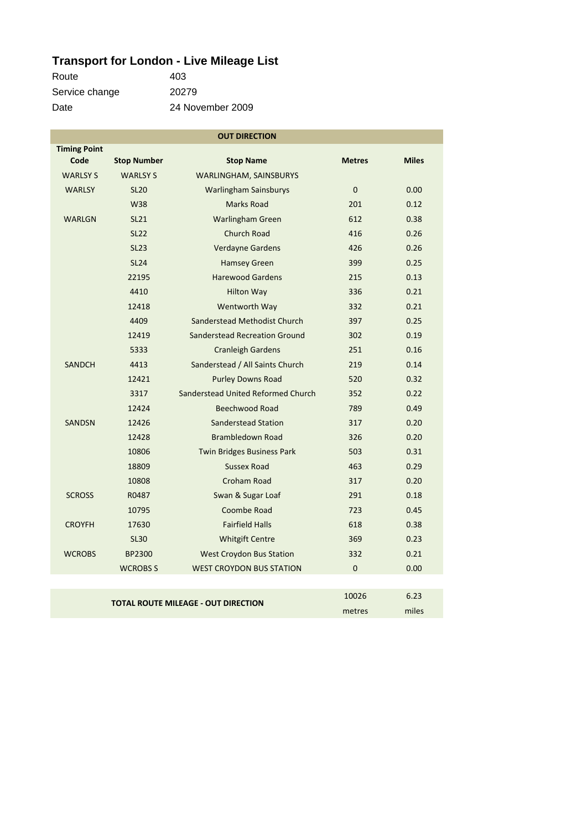# **Transport for London - Live Mileage List**

| Route          | 403              |
|----------------|------------------|
| Service change | 20279            |
| Date           | 24 November 2009 |

| <b>OUT DIRECTION</b>                       |                    |                                      |                |              |
|--------------------------------------------|--------------------|--------------------------------------|----------------|--------------|
| <b>Timing Point</b>                        |                    |                                      |                |              |
| Code                                       | <b>Stop Number</b> | <b>Stop Name</b>                     | <b>Metres</b>  | <b>Miles</b> |
| <b>WARLSY S</b>                            | <b>WARLSY S</b>    | WARLINGHAM, SAINSBURYS               |                |              |
| <b>WARLSY</b>                              | <b>SL20</b>        | <b>Warlingham Sainsburys</b>         | $\mathbf{0}$   | 0.00         |
|                                            | <b>W38</b>         | <b>Marks Road</b>                    | 201            | 0.12         |
| <b>WARLGN</b>                              | <b>SL21</b>        | <b>Warlingham Green</b>              | 612            | 0.38         |
|                                            | <b>SL22</b>        | <b>Church Road</b>                   | 416            | 0.26         |
|                                            | <b>SL23</b>        | Verdayne Gardens                     | 426            | 0.26         |
|                                            | <b>SL24</b>        | <b>Hamsey Green</b>                  | 399            | 0.25         |
|                                            | 22195              | <b>Harewood Gardens</b>              | 215            | 0.13         |
|                                            | 4410               | <b>Hilton Way</b>                    | 336            | 0.21         |
|                                            | 12418              | Wentworth Way                        | 332            | 0.21         |
|                                            | 4409               | Sanderstead Methodist Church         | 397            | 0.25         |
|                                            | 12419              | <b>Sanderstead Recreation Ground</b> | 302            | 0.19         |
|                                            | 5333               | <b>Cranleigh Gardens</b>             | 251            | 0.16         |
| <b>SANDCH</b>                              | 4413               | Sanderstead / All Saints Church      | 219            | 0.14         |
|                                            | 12421              | <b>Purley Downs Road</b>             | 520            | 0.32         |
|                                            | 3317               | Sanderstead United Reformed Church   | 352            | 0.22         |
|                                            | 12424              | <b>Beechwood Road</b>                | 789            | 0.49         |
| <b>SANDSN</b>                              | 12426              | Sanderstead Station                  | 317            | 0.20         |
|                                            | 12428              | <b>Brambledown Road</b>              | 326            | 0.20         |
|                                            | 10806              | <b>Twin Bridges Business Park</b>    | 503            | 0.31         |
|                                            | 18809              | <b>Sussex Road</b>                   | 463            | 0.29         |
|                                            | 10808              | <b>Croham Road</b>                   | 317            | 0.20         |
| <b>SCROSS</b>                              | R0487              | Swan & Sugar Loaf                    | 291            | 0.18         |
|                                            | 10795              | Coombe Road                          | 723            | 0.45         |
| <b>CROYFH</b>                              | 17630              | <b>Fairfield Halls</b>               | 618            | 0.38         |
|                                            | <b>SL30</b>        | <b>Whitgift Centre</b>               | 369            | 0.23         |
| <b>WCROBS</b>                              | <b>BP2300</b>      | <b>West Croydon Bus Station</b>      | 332            | 0.21         |
|                                            | <b>WCROBS S</b>    | <b>WEST CROYDON BUS STATION</b>      | $\overline{0}$ | 0.00         |
|                                            |                    |                                      |                |              |
|                                            |                    |                                      | 10026          | 6.23         |
| <b>TOTAL ROUTE MILEAGE - OUT DIRECTION</b> |                    | metres                               | miles          |              |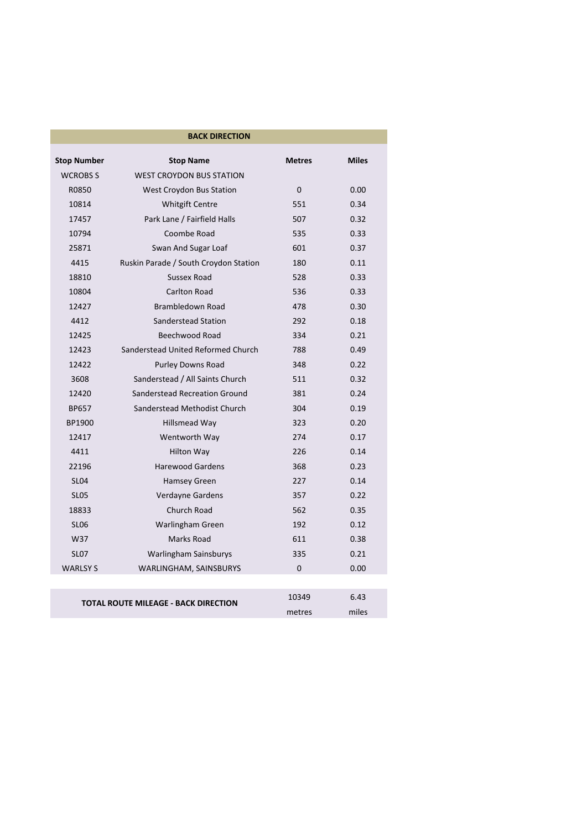| <b>BACK DIRECTION</b>                       |                                       |               |              |
|---------------------------------------------|---------------------------------------|---------------|--------------|
| <b>Stop Number</b>                          | <b>Stop Name</b>                      | <b>Metres</b> | <b>Miles</b> |
| <b>WCROBS S</b>                             | <b>WEST CROYDON BUS STATION</b>       |               |              |
| R0850                                       | <b>West Croydon Bus Station</b>       | $\Omega$      | 0.00         |
| 10814                                       | <b>Whitgift Centre</b>                | 551           | 0.34         |
| 17457                                       | Park Lane / Fairfield Halls           | 507           | 0.32         |
| 10794                                       | Coombe Road                           | 535           | 0.33         |
| 25871                                       | Swan And Sugar Loaf                   | 601           | 0.37         |
| 4415                                        | Ruskin Parade / South Croydon Station | 180           | 0.11         |
| 18810                                       | Sussex Road                           | 528           | 0.33         |
| 10804                                       | Carlton Road                          | 536           | 0.33         |
| 12427                                       | Brambledown Road                      | 478           | 0.30         |
| 4412                                        | Sanderstead Station                   | 292           | 0.18         |
| 12425                                       | Beechwood Road                        | 334           | 0.21         |
| 12423                                       | Sanderstead United Reformed Church    | 788           | 0.49         |
| 12422                                       | <b>Purley Downs Road</b>              | 348           | 0.22         |
| 3608                                        | Sanderstead / All Saints Church       | 511           | 0.32         |
| 12420                                       | Sanderstead Recreation Ground         | 381           | 0.24         |
| <b>BP657</b>                                | Sanderstead Methodist Church          | 304           | 0.19         |
| BP1900                                      | Hillsmead Way                         | 323           | 0.20         |
| 12417                                       | Wentworth Way                         | 274           | 0.17         |
| 4411                                        | <b>Hilton Way</b>                     | 226           | 0.14         |
| 22196                                       | <b>Harewood Gardens</b>               | 368           | 0.23         |
| <b>SL04</b>                                 | <b>Hamsey Green</b>                   | 227           | 0.14         |
| <b>SL05</b>                                 | Verdayne Gardens                      | 357           | 0.22         |
| 18833                                       | Church Road                           | 562           | 0.35         |
| <b>SL06</b>                                 | Warlingham Green                      | 192           | 0.12         |
| W37                                         | Marks Road                            | 611           | 0.38         |
| <b>SL07</b>                                 | Warlingham Sainsburys                 | 335           | 0.21         |
| <b>WARLSY S</b>                             | WARLINGHAM, SAINSBURYS                | $\Omega$      | 0.00         |
|                                             |                                       |               |              |
| <b>TOTAL ROUTE MILEAGE - BACK DIRECTION</b> |                                       | 10349         | 6.43         |
|                                             |                                       | metres        | miles        |